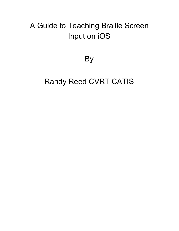# A Guide to Teaching Braille Screen Input on iOS

# By

# Randy Reed CVRT CATIS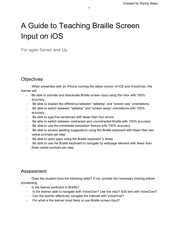# A Guide to Teaching Braille Screen Input on iOS

For ages Seven and Up

# **Objectives**

When presented with an iPhone running the latest version of iOS and VoiceOver, the learner will:

- Be able to activate and deactivate Braille screen input using the rotor with 100% accuracy.
- Be able to explain the difference between "tabletop" and "screen way" orientations.
- Be able to switch between "tabletop" and "screen away" orientations with 100% accuracy.
- Be able to type five sentences with fewer than four errors.
- Be able to switch between contracted and uncontracted Braille with 100% accuracy.
- Be able to use the immediate translation feature with 100% accuracy.
- Be able to access spelling suggestions using the Braille keyboard with fewer than two verbal prompts per step.
- Be able to open apps using the Braille keyboard 3⁄4 times.
- Be able to use the Braille keyboard to navigate by webpage element with fewer than three verbal prompts per step.

## Assessment

Does the student have the following skills? If not, provide the necessary training before proceeding.

- Is the learner perficient in Braille?
- Is the learner able to navigate with VoiceOver? Use the rotor? Edit text with VoiceOver?
- Can the learner effectively navigate the Internet with VoiceOver?
- For what is the learner most likely to use Braille screen input?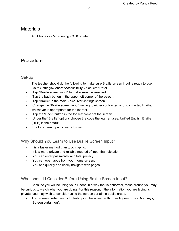## **Materials**

An iPhone or iPad running iOS 8 or later.

# Procedure

#### Set-up

The teacher should do the following to make sure Braille screen input is ready to use:

- Go to Settings\General\Accessibility\VoiceOver\Rotor.
- Tap "Braille screen input" to make sure it is enabled.
- Tap the back button in the upper left corner of the screen.
- Tap "Braille" in the main VoiceOver settings screen.
- Change the "Braille screen input" setting to either contracted or uncontracted Braille, whichever is appropriate for the learner.
- Tap the "Back" button in the top left corner of the screen.
- Under the "Braille" options choose the code the learner uses. Unified English Braille (UEB) is the default.
- Braille screen input is ready to use.

Why Should You Learn to Use Braille Screen Input?

- It is a faster method than touch typing.
- It is a more private and reliable method of input than dictation.
- You can enter passwords with total privacy.
- You can open apps from your home screen.
- You can quickly and easily navigate web pages.

## What should I Consider Before Using Braille Screen Input?

Because you will be using your iPhone in a way that is abnormal, those around you may be curious to watch what you are doing. For this reason, if the information you are typing is private, you may wish to consider using the screen curtain in public areas.

- Turn screen curtain on by triple-tapping the screen with three fingers. VoiceOver says, "Screen curtain on".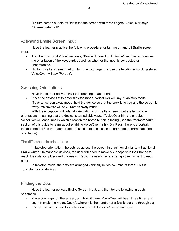- To turn screen curtain off, triple-tap the screen with three fingers. VoiceOver says, "Screen curtain off".

## Activating Braille Screen Input

Have the learner practice the following procedure for turning on and off Braille screen input.

- Turn the rotor until VoiceOver says, "Braille Screen Input". VoiceOver then announces the orientation of the keyboard, as well as whether the input is contracted or uncontracted.
- To turn Braille screen input off, turn the rotor again, or use the two-finger scrub gesture. VoiceOver will say "Portrait".

### Switching Orientations

Have the learner activate Braille screen input, and then:

- Place the device flat to enter tabletop mode. VoiceOver will say, "Tabletop Mode".
- To enter screen away mode, hold the device so that the back is to you and the screen is away. VoiceOver will say, "Screen away mode".

With the exception of iPads, all orientations for Braille screen input are landscape orientations, meaning that the device is turned sideways. If VoiceOver hints is enabled, VoiceOver will announce in which direction the home button is facing (See the "Memorandum" section of this guide to learn about enabling VoiceOver hints). On iPads, there is a portrait tabletop mode (See the "Memorandum" section of this lesson to learn about portrait tabletop orientation).

#### The differences in orientations

In tabletop orientation, the dots go across the screen in a fashion similar to a traditional Braille writer. On standard devices, the user will need to make a V-shape with their hands to reach the dots. On plus-sized phones or iPads, the user's fingers can go directly next to each other.

In tabletop mode, the dots are arranged vertically in two columns of three. This is consistent for all devices.

## Finding the Dots

Have the learner activate Braille Screen input, and then try the following in each orientation.

- Place one finger on the screen, and hold it there. VoiceOver will beep three times and say, "In exploring mode. Dot x.", where x is the number of a Braille dot one through six.
- Place a second finger. Pay attention to what dot voiceOver announces.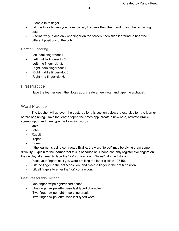- Place a third finger.
- Lift the three fingers you have placed, then use the other hand to find the remaining dots.
- Alternatively, place only one finger on the screen, then slide it around to hear the different positions of the dots.

#### Correct Fingering

- Left index finger=dot 1.
- Left middle finger=dot 2.
- Left ring finger=dot 3.
- Right index finger=dot 4.
- Right middle finger=dot 5.
- Right ring finger=dot 6.

#### First Practice

Have the learner open the Notes app, create a new note, and type the alphabet.

#### Word Practice

The teacher will go over the gestures for this section below the exercise for the learner before beginning. Have the learner open the notes app, create a new note, activate Braille screen input, and then type the following words.

- Jock
- Label
- Rabbit
- Taped
- Forest

If the learner is using contracted Braille, the word "forest" may be giving them some difficulty. Explain to the learner that this is because an iPhone can only register five fingers on the display at a time. To type the "for" contraction in "forest", do the following:

- Place your fingers as if you were brailling the letter q (dots 12345).
- Lift the finger in the dot 5 position, and place a finger in the dot 6 position.
- Lift all fingers to enter the "for" contraction.

#### Gestures for this Section

- One-finger swipe right=Insert space.
- One-finger swipe left=Erase last typed character.
- Two-finger swipe right=Insert line break.
- Two-finger swipe left=Erase last typed word.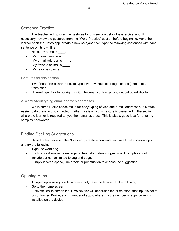### Sentence Practice

The teacher will go over the gestures for this section below the exercise, and. If necessary, review the gestures from the "Word Practice" section before beginning. Have the learner open the Notes app, create a new note,and then type the following sentences with each sentence on its own line.

- Hello, my name is  $\qquad \qquad$ .
- My phone number is \_\_\_\_.
- My e-mail address is \_\_\_\_.
- My favorite animal is \_\_\_\_.
- My favorite color is \_\_\_\_\_.

Gestures for this section.

- Two-finger flick down=translate typed word without inserting a space (immediate translation).
- Three-finger flick left or right=switch between contracted and uncontracted Braille.

#### A Word About typing email and web addresses

While some Braille codes make for easy typing of web and e-mail addresses, it is often easier to do these in uncontracted Braille. This is why this gesture is presented in the section where the learner is required to type their email address. This is also a good idea for entering complex passwords.

#### Finding Spelling Suggestions

Have the learner open the Notes app, create a new note, activate Braille screen input, and try the following:

- Type the word dog.
- Flick up or down with one finger to hear alternative suggestions. Examples should include but not be limited to Jog and dogs.
- Simply insert a space, line break, or punctuation to choose the suggestion.

### Opening Apps

To open apps using Braille screen input, have the learner do the following:

- Go to the home screen.
- Activate Braille screen input. VoiceOver will announce the orientation, that input is set to uncontracted Braille, and x number of apps, where x is the number of apps currently installed on the device.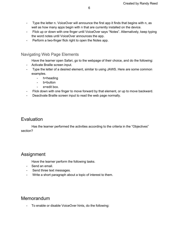- Type the letter n. VoiceOver will announce the first app it finds that begins with n, as well as how many apps begin with n that are currently installed on the device.
- Flick up or down with one finger until VoiceOver says "Notes". Alternatively, keep typing the word notes until VoiceOver announces the app.
- Perform a two-finger flick right to open the Notes app.

### Navigating Web Page Elements

Have the learner open Safari, go to the webpage of their choice, and do the following:

- Activate Braille screen input.
- Type the letter of a desired element, similar to using JAWS. Here are some common examples.
	- h=heading
	- b=button
	- e=edit box.
- Flick down with one finger to move forward by that element, or up to move backward.
- Deactivate Braille screen input to read the web page normally.

## Evaluation

Has the learner performed the activities according to the criteria in the "Objectives" section?

## Assignment

Have the learner perform the following tasks.

- Send an email.
- Send three text messages.
- Write a short paragraph about a topic of interest to them.

## Memorandum

To enable or disable VoiceOver hints, do the following: